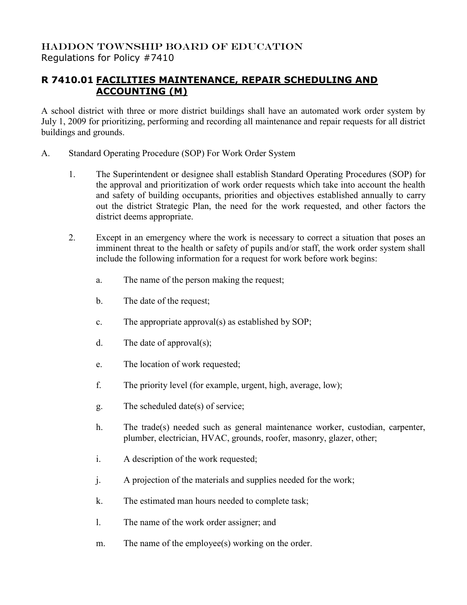## HADDON TOWNSHIP BOARD OF EDUCATION Regulations for Policy #7410

## **R 7410.01 FACILITIES MAINTENANCE, REPAIR SCHEDULING AND ACCOUNTING (M)**

A school district with three or more district buildings shall have an automated work order system by July 1, 2009 for prioritizing, performing and recording all maintenance and repair requests for all district buildings and grounds.

- A. Standard Operating Procedure (SOP) For Work Order System
	- 1. The Superintendent or designee shall establish Standard Operating Procedures (SOP) for the approval and prioritization of work order requests which take into account the health and safety of building occupants, priorities and objectives established annually to carry out the district Strategic Plan, the need for the work requested, and other factors the district deems appropriate.
	- 2. Except in an emergency where the work is necessary to correct a situation that poses an imminent threat to the health or safety of pupils and/or staff, the work order system shall include the following information for a request for work before work begins:
		- a. The name of the person making the request;
		- b. The date of the request;
		- c. The appropriate approval(s) as established by SOP;
		- d. The date of approval(s);
		- e. The location of work requested;
		- f. The priority level (for example, urgent, high, average, low);
		- g. The scheduled date(s) of service;
		- h. The trade(s) needed such as general maintenance worker, custodian, carpenter, plumber, electrician, HVAC, grounds, roofer, masonry, glazer, other;
		- i. A description of the work requested;
		- j. A projection of the materials and supplies needed for the work;
		- k. The estimated man hours needed to complete task;
		- l. The name of the work order assigner; and
		- m. The name of the employee(s) working on the order.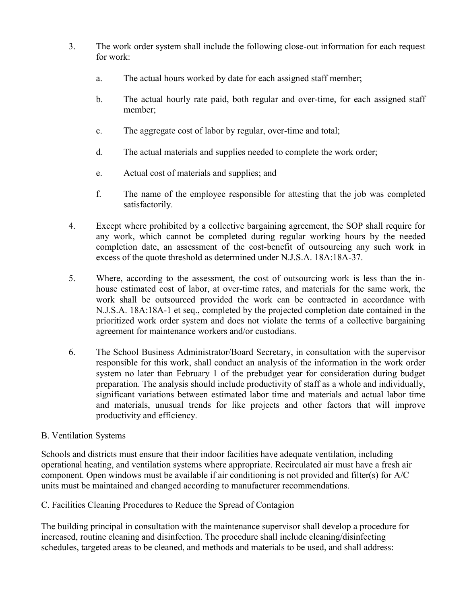- 3. The work order system shall include the following close-out information for each request for work:
	- a. The actual hours worked by date for each assigned staff member;
	- b. The actual hourly rate paid, both regular and over-time, for each assigned staff member;
	- c. The aggregate cost of labor by regular, over-time and total;
	- d. The actual materials and supplies needed to complete the work order;
	- e. Actual cost of materials and supplies; and
	- f. The name of the employee responsible for attesting that the job was completed satisfactorily.
- 4. Except where prohibited by a collective bargaining agreement, the SOP shall require for any work, which cannot be completed during regular working hours by the needed completion date, an assessment of the cost-benefit of outsourcing any such work in excess of the quote threshold as determined under N.J.S.A. 18A:18A-37.
- 5. Where, according to the assessment, the cost of outsourcing work is less than the inhouse estimated cost of labor, at over-time rates, and materials for the same work, the work shall be outsourced provided the work can be contracted in accordance with N.J.S.A. 18A:18A-1 et seq., completed by the projected completion date contained in the prioritized work order system and does not violate the terms of a collective bargaining agreement for maintenance workers and/or custodians.
- 6. The School Business Administrator/Board Secretary, in consultation with the supervisor responsible for this work, shall conduct an analysis of the information in the work order system no later than February 1 of the prebudget year for consideration during budget preparation. The analysis should include productivity of staff as a whole and individually, significant variations between estimated labor time and materials and actual labor time and materials, unusual trends for like projects and other factors that will improve productivity and efficiency.

## B. Ventilation Systems

Schools and districts must ensure that their indoor facilities have adequate ventilation, including operational heating, and ventilation systems where appropriate. Recirculated air must have a fresh air component. Open windows must be available if air conditioning is not provided and filter(s) for A/C units must be maintained and changed according to manufacturer recommendations.

C. Facilities Cleaning Procedures to Reduce the Spread of Contagion

The building principal in consultation with the maintenance supervisor shall develop a procedure for increased, routine cleaning and disinfection. The procedure shall include cleaning/disinfecting schedules, targeted areas to be cleaned, and methods and materials to be used, and shall address: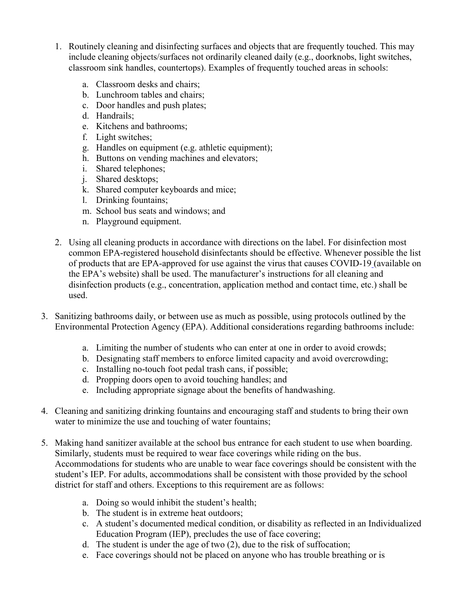- 1. Routinely cleaning and disinfecting surfaces and objects that are frequently touched. This may include cleaning objects/surfaces not ordinarily cleaned daily (e.g., doorknobs, light switches, classroom sink handles, countertops). Examples of frequently touched areas in schools:
	- a. Classroom desks and chairs;
	- b. Lunchroom tables and chairs;
	- c. Door handles and push plates;
	- d. Handrails;
	- e. Kitchens and bathrooms;
	- f. Light switches;
	- g. Handles on equipment (e.g. athletic equipment);
	- h. Buttons on vending machines and elevators;
	- i. Shared telephones;
	- j. Shared desktops;
	- k. Shared computer keyboards and mice;
	- l. Drinking fountains;
	- m. School bus seats and windows; and
	- n. Playground equipment.
- 2. Using all cleaning products in accordance with directions on the label. For disinfection most common EPA-registered household disinfectants should be effective. Whenever possible the list of products that are [EPA-approved for use against the virus that causes COVID-19](https://www.epa.gov/pesticide-registration/list-n-disinfectants-use-against-sars-cov-2-covid-19) (available on the EPA's website) shall be used. The manufacturer's instructions for all cleaning and disinfection products (e.g., concentration, application method and contact time, etc.) shall be used.
- 3. Sanitizing bathrooms daily, or between use as much as possible, using [protocols outlined by the](https://www.epa.gov/pesticide-registration/list-n-disinfectants-use-against-sars-cov-2-covid-19) [Environmental Protection Agency \(EPA\).](https://www.epa.gov/pesticide-registration/list-n-disinfectants-use-against-sars-cov-2-covid-19) Additional considerations regarding bathrooms include:
	- a. Limiting the number of students who can enter at one in order to avoid crowds;
	- b. Designating staff members to enforce limited capacity and avoid overcrowding;
	- c. Installing no-touch foot pedal trash cans, if possible;
	- d. Propping doors open to avoid touching handles; and
	- e. Including appropriate signage about the benefits of handwashing.
- 4. Cleaning and sanitizing drinking fountains and encouraging staff and students to bring their own water to minimize the use and touching of water fountains;
- 5. Making hand sanitizer available at the school bus entrance for each student to use when boarding. Similarly, students must be required to wear face coverings while riding on the bus. Accommodations for students who are unable to wear face coverings should be consistent with the student's IEP. For adults, accommodations shall be consistent with those provided by the school district for staff and others. Exceptions to this requirement are as follows:
	- a. Doing so would inhibit the student's health;
	- b. The student is in extreme heat outdoors;
	- c. A student's documented medical condition, or disability as reflected in an Individualized Education Program (IEP), precludes the use of face covering;
	- d. The student is under the age of two (2), due to the risk of suffocation;
	- e. Face coverings should not be placed on anyone who has trouble breathing or is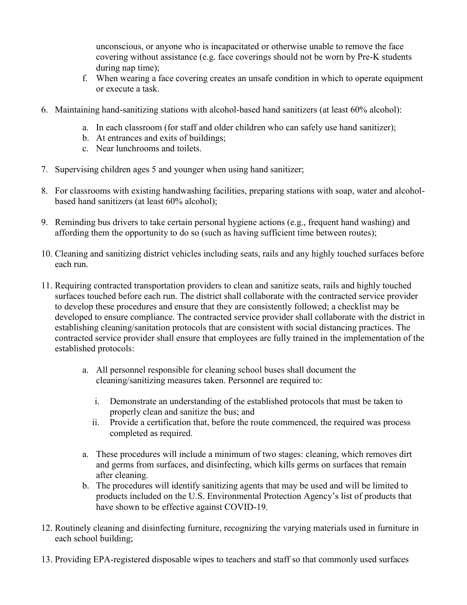unconscious, or anyone who is incapacitated or otherwise unable to remove the face covering without assistance (e.g. face coverings should not be worn by Pre-K students during nap time);

- f. When wearing a face covering creates an unsafe condition in which to operate equipment or execute a task.
- 6. Maintaining hand-sanitizing stations with alcohol-based hand sanitizers (at least 60% alcohol):
	- a. In each classroom (for staff and older children who can safely use hand sanitizer);
	- b. At entrances and exits of buildings;
	- c. Near lunchrooms and toilets.
- 7. Supervising children ages 5 and younger when using hand sanitizer;
- 8. For classrooms with existing handwashing facilities, preparing stations with soap, water and alcoholbased hand sanitizers (at least 60% alcohol);
- 9. Reminding bus drivers to take certain personal hygiene actions (e.g., frequent hand washing) and affording them the opportunity to do so (such as having sufficient time between routes);
- 10. Cleaning and sanitizing district vehicles including seats, rails and any highly touched surfaces before each run.
- 11. Requiring contracted transportation providers to clean and sanitize seats, rails and highly touched surfaces touched before each run. The district shall collaborate with the contracted service provider to develop these procedures and ensure that they are consistently followed; a checklist may be developed to ensure compliance. The contracted service provider shall collaborate with the district in establishing cleaning/sanitation protocols that are consistent with social distancing practices. The contracted service provider shall ensure that employees are fully trained in the implementation of the established protocols:
	- a. All personnel responsible for cleaning school buses shall document the cleaning/sanitizing measures taken. Personnel are required to:
		- i. Demonstrate an understanding of the established protocols that must be taken to properly clean and sanitize the bus; and
		- ii. Provide a certification that, before the route commenced, the required was process completed as required.
	- a. These procedures will include a minimum of two stages: cleaning, which removes dirt and germs from surfaces, and disinfecting, which kills germs on surfaces that remain after cleaning.
	- b. The procedures will identify sanitizing agents that may be used and will be limited to products included on the U.S. Environmental Protection Agency's list of products that have shown to be effective against COVID-19.
- 12. Routinely cleaning and disinfecting furniture, recognizing the varying materials used in furniture in each school building;
- 13. Providing EPA-registered disposable wipes to teachers and staff so that commonly used surfaces